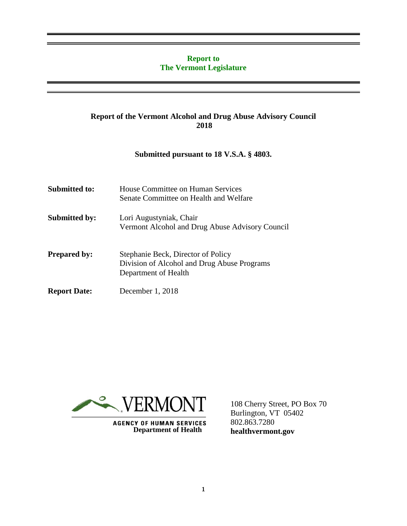### **Report to The Vermont Legislature**

### **Report of the Vermont Alcohol and Drug Abuse Advisory Council 2018**

### **Submitted pursuant to 18 V.S.A. § 4803.**

| Submitted to:        | House Committee on Human Services<br>Senate Committee on Health and Welfare                               |
|----------------------|-----------------------------------------------------------------------------------------------------------|
| <b>Submitted by:</b> | Lori Augustyniak, Chair<br>Vermont Alcohol and Drug Abuse Advisory Council                                |
| <b>Prepared by:</b>  | Stephanie Beck, Director of Policy<br>Division of Alcohol and Drug Abuse Programs<br>Department of Health |
| <b>Report Date:</b>  | December 1, 2018                                                                                          |



**AGENCY OF HUMAN SERVICES**<br>Department of Health

108 Cherry Street, PO Box 70 Burlington, VT 05402 802.863.7280 **healthvermont.gov**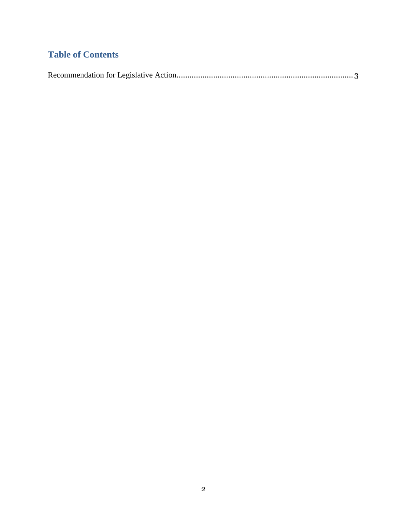# **Table of Contents**

|--|